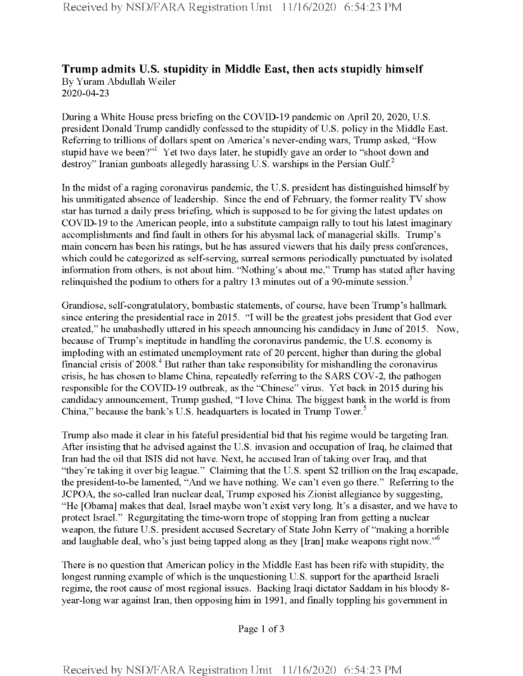## **Trump admits U.S. stupidity in Middle East, then acts stupidly himself** By Yuram Abdullah Weiler 2020-04-23

During a White House press briefing on the COVID-19 pandemic on April 20, 2020, U.S. president Donald Trump candidly confessed to the stupidity of U.S. policy in the Middle East. Referring to trillions of dollars spent on America's never-ending wars, Trump asked, "How stupid have we been?"<sup>1</sup> Yet two days later, he stupidly gave an order to "shoot down and destroy" Iranian gunboats allegedly harassing U.S. warships in the Persian Gulf.<sup>2</sup>

In the midst of a raging coronavirus pandemic, the U.S. president has distinguished himself by his unmitigated absence of leadership. Since the end of February, the former reality TV show star has turned a daily press briefing, which is supposed to be for giving the latest updates on COVID-19 to the American people, into a substitute campaign rally to tout his latest imaginary accomplishments and find fault in others for his abysmal lack of managerial skills. Trump's main concern has been his ratings, but he has assured viewers that his daily press conferences, which could be categorized as self-serving, surreal sermons periodically punctuated by isolated information from others, is not about him. "Nothing's about me," Trump has stated after having relinguished the podium to others for a paltry 13 minutes out of a 90-minute session.<sup>3</sup>

Grandiose, self-congratulatory, bombastic statements, of course, have been Trump's hallmark since entering the presidential race in 2015. "I will be the greatestjobs president that God ever created," he unabashedly uttered in his speech announcing his candidacy in June of 2015. Now, because of Trump's ineptitude in handling the coronavirus pandemic, the U.S. economy is imploding with an estimated unemployment rate of 20 percent, higher than during the global financial crisis of 2008.<sup>4</sup> But rather than take responsibility for mishandling the coronavirus crisis, he has chosen to blame China, repeatedly referring to the SARS COV-2, the pathogen responsible for the COVID-19 outbreak, as the "Chinese" virus. Yet back in 2015 during his candidacy announcement, Trump gushed, "I love China. The biggest bank in the world is from China," because the bank's U.S. headquarters is located in Trump Tower.<sup>5</sup>

Trump also made it clear in his fateful presidential bid that his regime would be targeting Iran. After insisting that he advised against the U.S. invasion and occupation of Iraq, he claimed that Iran had the oil that ISIS did not have. Next, he accused Iran of taking over Iraq, and that "they're taking it over big league." Claiming that the U.S. spent \$2 trillion on the Iraq escapade, the president-to-be lamented, "And we have nothing. We can't even go there." Referring to the JCPOA, the so-called Iran nuclear deal, Trump exposed his Zionist allegiance by suggesting, "He [Obama] makes that deal, Israel maybe won't exist very long. It's a disaster, and we have to protect Israel." Regurgitating the time-worn trope of stopping Iran from getting a nuclear weapon, the future U.S. president accused Secretary of State John Kerry of "making a horrible and laughable deal, who's just being tapped along as they [Iran] make weapons right now."<sup>6</sup>

There is no question that American policy in the Middle East has been rife with stupidity, the longest running example of which is the unquestioning U.S. support for the apartheid Israeli regime, the root cause of most regional issues. Backing Iraqi dictator Saddam in his bloody 8year-long war against Iran, then opposing him in 1991, and finally toppling his government in

Page 1 of 3

Received by NSD/FARA Registration Unit 11/16/2020 6:54:23 PM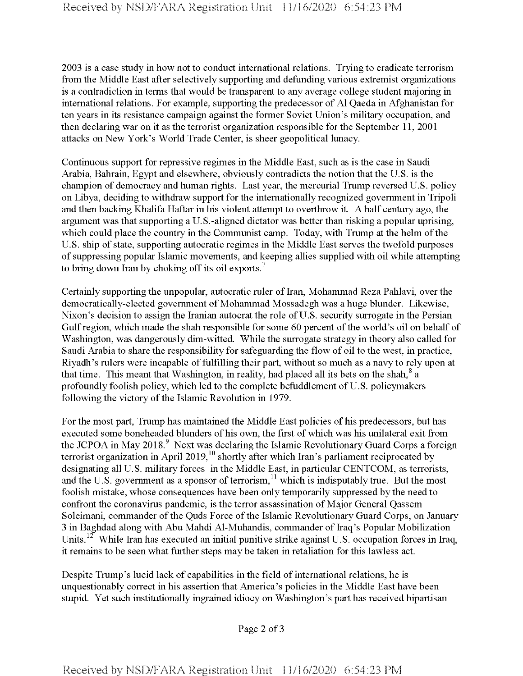2003 is a case study in how not to conduct international relations. Trying to eradicate terrorism from the Middle East after selectively supporting and defunding various extremist organizations is a contradiction in terms that would be transparent to any average college student majoring in international relations. For example, supporting the predecessor of A1 Qaeda in Afghanistan for ten years in its resistance campaign against the former Soviet Union's military occupation, and then declaring war on it as the terrorist organization responsible for the September 11, 2001 attacks on New York's World Trade Center, is sheer geopolitical lunacy.

Continuous support for repressive regimes in the Middle East, such as is the case in Saudi Arabia, Bahrain, Egypt and elsewhere, obviously contradicts the notion that the U.S. is the champion of democracy and human rights. Last year, the mercurial Trump reversed U.S. policy on Libya, deciding to withdraw support for the internationally recognized government in Tripoli and then backing Khalifa Haftar in his violent attempt to overthrow it. A half century ago, the argument was that supporting a U.S.-aligned dictator was better than risking a popular uprising, which could place the country in the Communist camp. Today, with Trump at the helm of the U.S. ship of state, supporting autocratic regimes in the Middle East serves the twofold purposes of suppressing popular Islamic movements, and keeping allies supplied with oil while attempting to bring down Iran by choking off its oil exports.<sup>7</sup>

Certainly supporting the unpopular, autocratic ruler of Iran, Mohammad Reza Pahlavi, over the democratically-elected government of Mohammad Mossadegh was a huge blunder. Likewise, Nixon's decision to assign the Iranian autocrat the role of U.S. security surrogate in the Persian Gulf region, which made the shah responsible for some 60 percent of the world's oil on behalf of Washington, was dangerously dim-witted. While the surrogate strategy in theory also called for Saudi Arabia to share the responsibility for safeguarding the flow of oil to the west, in practice, Riyadh's rulers were incapable of fulfilling their part, without so much as a navy to rely upon at that time. This meant that Washington, in reality, had placed all its bets on the shah,  $\frac{8}{3}$  a profoundly foolish policy, which led to the complete befuddlement of U.S. policymakers following the victory of the Islamic Revolution in 1979.

For the most part, Trump has maintained the Middle East policies of his predecessors, but has executed some boneheaded blunders of his own, the first of which was his unilateral exit from the JCPOA in May 2018.<sup>9</sup> Next was declaring the Islamic Revolutionary Guard Corps a foreign terrorist organization in April 2019,<sup>10</sup> shortly after which Iran's parliament reciprocated by designating all U.S. military forces in the Middle East, in particular CENTCOM, as terrorists, and the U.S. government as a sponsor of terrorism,  $11$  which is indisputably true. But the most foolish mistake, whose consequences have been only temporarily suppressed by the need to confront the coronavirus pandemic, is the terror assassination of Major General Qassem Soleimani, commander of the Quds Force of the Islamic Revolutionary Guard Corps, on January 3 in Baghdad along with Abu Mahdi Al-Muhandis, commander of Iraq's Popular Mobilization Units.<sup>12</sup> While Iran has executed an initial punitive strike against U.S. occupation forces in Iraq, it remains to be seen what further steps may be taken in retaliation for this lawless act.

Despite Trump's lucid lack of capabilities in the field of international relations, he is unquestionably correct in his assertion that America's policies in the Middle East have been stupid. Yet such institutionally ingrained idiocy on Washington's part has received bipartisan

Page 2 of <sup>3</sup>

Received by NSD/FARA Registration Unit 11/16/2020 6:54:23 PM